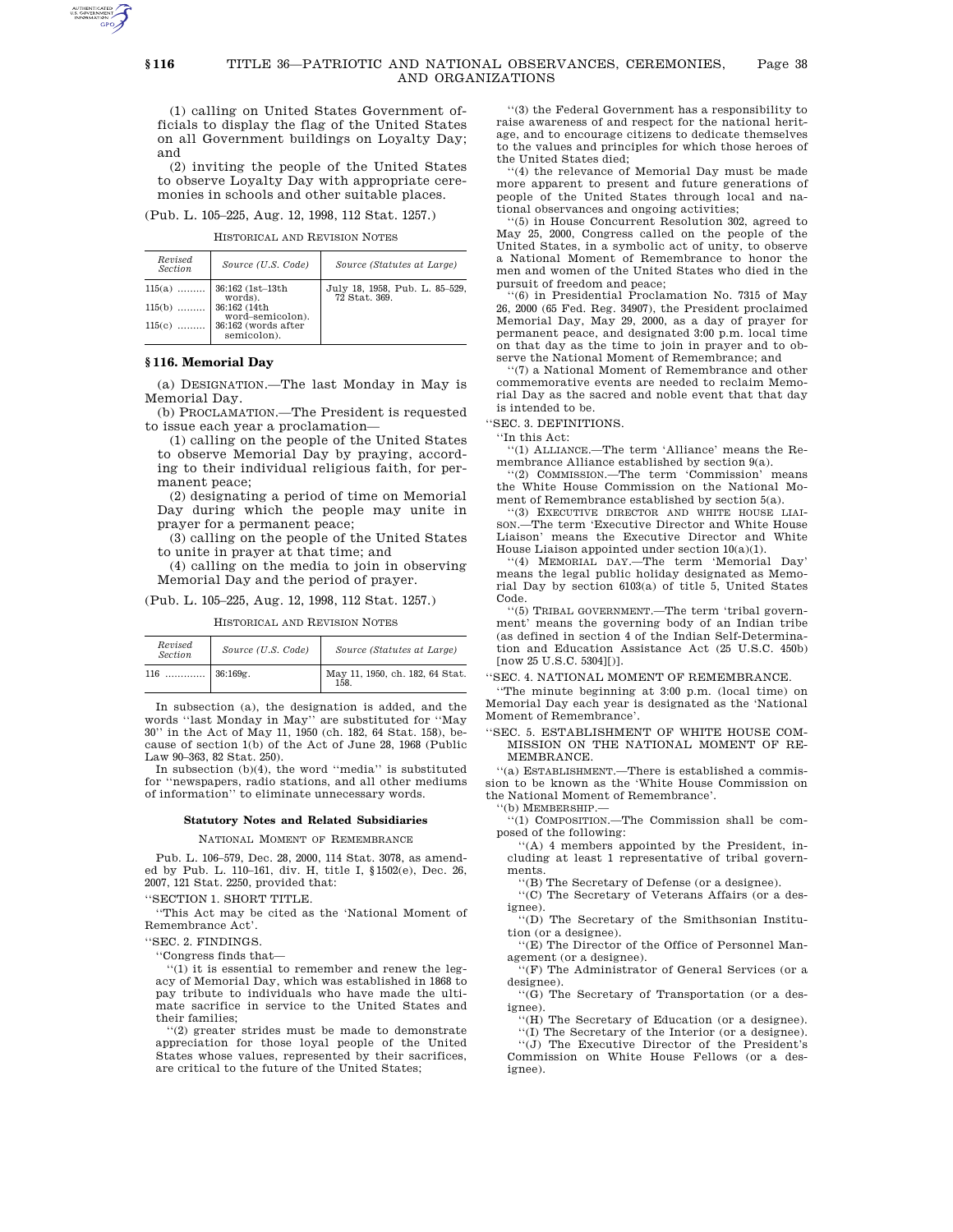### TITLE 36—PATRIOTIC AND NATIONAL OBSERVANCES, CEREMONIES, Page 38 AND ORGANIZATIONS

(1) calling on United States Government officials to display the flag of the United States on all Government buildings on Loyalty Day; and

(2) inviting the people of the United States to observe Loyalty Day with appropriate ceremonies in schools and other suitable places.

(Pub. L. 105–225, Aug. 12, 1998, 112 Stat. 1257.)

### HISTORICAL AND REVISION NOTES

| Revised<br>Section | Source (U.S. Code)                      | Source (Statutes at Large)                      |
|--------------------|-----------------------------------------|-------------------------------------------------|
|                    | $115(a)$   36:162 (1st-13th)<br>words). | July 18, 1958, Pub. L. 85-529,<br>72 Stat. 369. |
| $115(b)$           | 36:162 (14th<br>word-semicolon).        |                                                 |
| 115(c)             | 36:162 (words after<br>semicolon).      |                                                 |

# **§ 116. Memorial Day**

(a) DESIGNATION.—The last Monday in May is Memorial Day.

(b) PROCLAMATION.—The President is requested to issue each year a proclamation—

(1) calling on the people of the United States to observe Memorial Day by praying, according to their individual religious faith, for permanent peace;

(2) designating a period of time on Memorial Day during which the people may unite in prayer for a permanent peace;

(3) calling on the people of the United States to unite in prayer at that time; and

(4) calling on the media to join in observing Memorial Day and the period of prayer.

(Pub. L. 105–225, Aug. 12, 1998, 112 Stat. 1257.)

HISTORICAL AND REVISION NOTES

| Revised<br><b>Section</b> | Source (U.S. Code) | Source (Statutes at Large)              |
|---------------------------|--------------------|-----------------------------------------|
| 116                       |                    | May 11, 1950, ch. 182, 64 Stat.<br>158. |

In subsection (a), the designation is added, and the words ''last Monday in May'' are substituted for ''May 30'' in the Act of May 11, 1950 (ch. 182, 64 Stat. 158), because of section 1(b) of the Act of June 28, 1968 (Public Law 90–363, 82 Stat. 250).

In subsection  $(b)(4)$ , the word "media" is substituted for ''newspapers, radio stations, and all other mediums of information'' to eliminate unnecessary words.

### **Statutory Notes and Related Subsidiaries**

NATIONAL MOMENT OF REMEMBRANCE

Pub. L. 106–579, Dec. 28, 2000, 114 Stat. 3078, as amended by Pub. L. 110–161, div. H, title I, §1502(e), Dec. 26, 2007, 121 Stat. 2250, provided that:

''SECTION 1. SHORT TITLE.

''This Act may be cited as the 'National Moment of Remembrance Act'.

''SEC. 2. FINDINGS.

''Congress finds that—

''(1) it is essential to remember and renew the legacy of Memorial Day, which was established in 1868 to pay tribute to individuals who have made the ultimate sacrifice in service to the United States and their families;

''(2) greater strides must be made to demonstrate appreciation for those loyal people of the United States whose values, represented by their sacrifices, are critical to the future of the United States;

''(3) the Federal Government has a responsibility to raise awareness of and respect for the national heritage, and to encourage citizens to dedicate themselves to the values and principles for which those heroes of the United States died;

''(4) the relevance of Memorial Day must be made more apparent to present and future generations of people of the United States through local and national observances and ongoing activities;

(5) in House Concurrent Resolution 302, agreed to May 25, 2000, Congress called on the people of the United States, in a symbolic act of unity, to observe a National Moment of Remembrance to honor the men and women of the United States who died in the pursuit of freedom and peace;

''(6) in Presidential Proclamation No. 7315 of May 26, 2000 (65 Fed. Reg. 34907), the President proclaimed Memorial Day, May 29, 2000, as a day of prayer for permanent peace, and designated 3:00 p.m. local time on that day as the time to join in prayer and to observe the National Moment of Remembrance; and

''(7) a National Moment of Remembrance and other commemorative events are needed to reclaim Memorial Day as the sacred and noble event that that day is intended to be.

''SEC. 3. DEFINITIONS.

''In this Act:

''(1) ALLIANCE.—The term 'Alliance' means the Remembrance Alliance established by section 9(a).

''(2) COMMISSION.—The term 'Commission' means the White House Commission on the National Moment of Remembrance established by section 5(a).

''(3) EXECUTIVE DIRECTOR AND WHITE HOUSE LIAI-SON.—The term 'Executive Director and White House Liaison' means the Executive Director and White House Liaison appointed under section 10(a)(1).

''(4) MEMORIAL DAY.—The term 'Memorial Day' means the legal public holiday designated as Memorial Day by section 6103(a) of title 5, United States Code.

''(5) TRIBAL GOVERNMENT.—The term 'tribal government' means the governing body of an Indian tribe (as defined in section 4 of the Indian Self-Determination and Education Assistance Act (25 U.S.C. 450b) [now 25 U.S.C. 5304][)].

''SEC. 4. NATIONAL MOMENT OF REMEMBRANCE.

''The minute beginning at 3:00 p.m. (local time) on Memorial Day each year is designated as the 'National Moment of Remembrance'.

'SEC. 5. ESTABLISHMENT OF WHITE HOUSE COM-MISSION ON THE NATIONAL MOMENT OF RE-MEMBRANCE.

''(a) ESTABLISHMENT.—There is established a commission to be known as the 'White House Commission on the National Moment of Remembrance'.

''(b) MEMBERSHIP.—

''(1) COMPOSITION.—The Commission shall be composed of the following:

''(A) 4 members appointed by the President, including at least 1 representative of tribal governments.

''(B) The Secretary of Defense (or a designee).

''(C) The Secretary of Veterans Affairs (or a des-

ignee). ''(D) The Secretary of the Smithsonian Institution (or a designee).

''(E) The Director of the Office of Personnel Management (or a designee).

 $\lq(\mathrm{F})$  The Administrator of General Services (or a designee).

''(G) The Secretary of Transportation (or a designee).

'(H) The Secretary of Education (or a designee).

''(I) The Secretary of the Interior (or a designee).

''(J) The Executive Director of the President's Commission on White House Fellows (or a designee).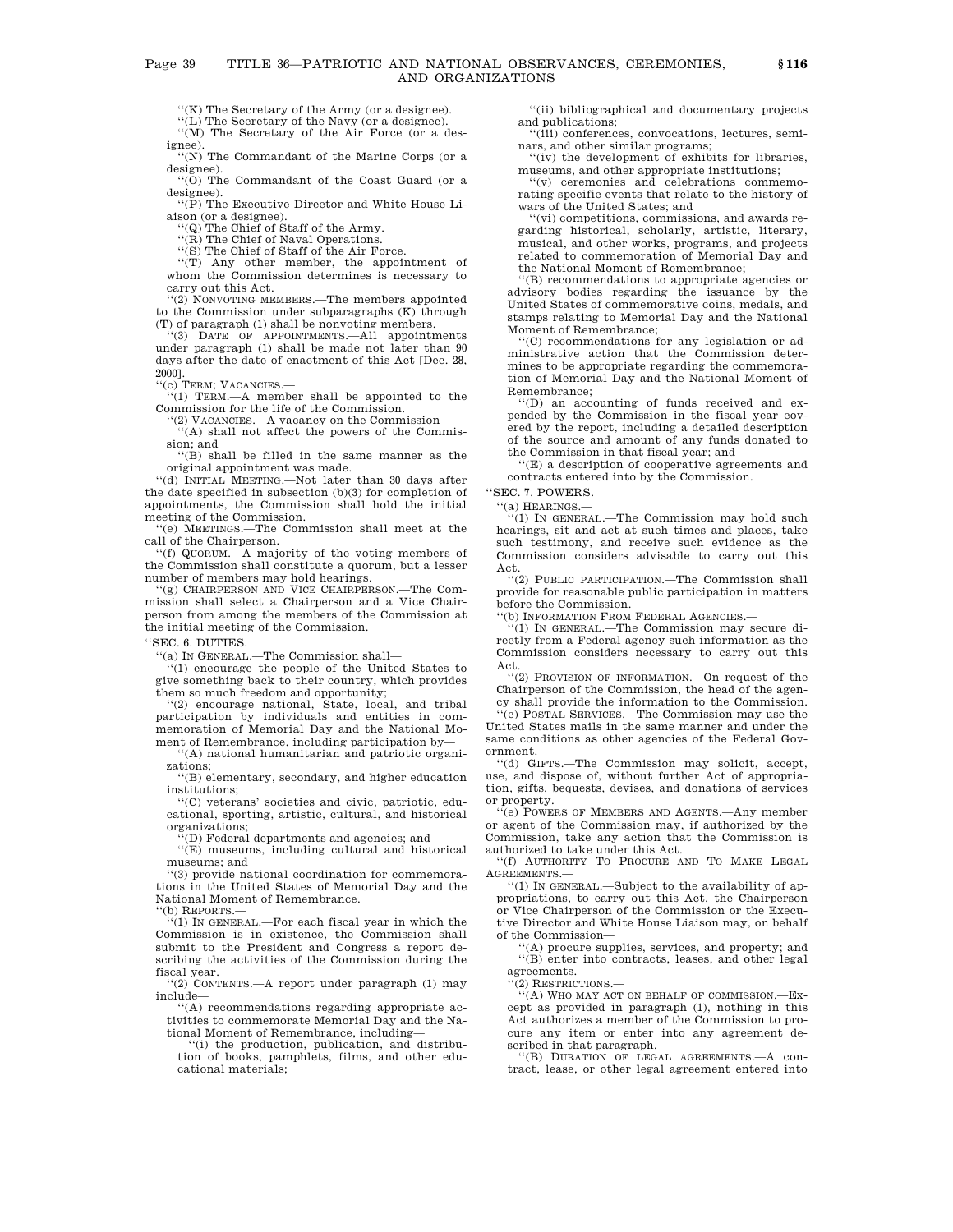''(K) The Secretary of the Army (or a designee).

''(L) The Secretary of the Navy (or a designee).

''(M) The Secretary of the Air Force (or a designee).

'(N) The Commandant of the Marine Corps (or a designee).

''(O) The Commandant of the Coast Guard (or a designee).

''(P) The Executive Director and White House Liaison (or a designee).

''(Q) The Chief of Staff of the Army.

''(R) The Chief of Naval Operations.

''(S) The Chief of Staff of the Air Force.

''(T) Any other member, the appointment of whom the Commission determines is necessary to carry out this Act.

''(2) NONVOTING MEMBERS.—The members appointed to the Commission under subparagraphs (K) through (T) of paragraph (1) shall be nonvoting members.<br>
"(3) DATE OF APPOINTMENTS.—All appoint

DATE OF APPOINTMENTS.—All appointments under paragraph (1) shall be made not later than 90 days after the date of enactment of this Act [Dec. 28, 2000].

''(c) TERM; VACANCIES.—

''(1) TERM.—A member shall be appointed to the Commission for the life of the Commission.

''(2) VACANCIES.—A vacancy on the Commission— ''(A) shall not affect the powers of the Commis-

sion; and ''(B) shall be filled in the same manner as the

original appointment was made.

''(d) INITIAL MEETING.—Not later than 30 days after the date specified in subsection (b)(3) for completion of appointments, the Commission shall hold the initial meeting of the Commission.

''(e) MEETINGS.—The Commission shall meet at the call of the Chairperson.

''(f) QUORUM.—A majority of the voting members of the Commission shall constitute a quorum, but a lesser number of members may hold hearings.

''(g) CHAIRPERSON AND VICE CHAIRPERSON.—The Commission shall select a Chairperson and a Vice Chairperson from among the members of the Commission at the initial meeting of the Commission.

''SEC. 6. DUTIES.

''(a) IN GENERAL.—The Commission shall—

''(1) encourage the people of the United States to give something back to their country, which provides them so much freedom and opportunity;

''(2) encourage national, State, local, and tribal participation by individuals and entities in commemoration of Memorial Day and the National Moment of Remembrance, including participation by—

''(A) national humanitarian and patriotic organizations;

''(B) elementary, secondary, and higher education institutions;

''(C) veterans' societies and civic, patriotic, educational, sporting, artistic, cultural, and historical organizations;

 $f(D)$  Federal departments and agencies; and

''(E) museums, including cultural and historical museums; and

''(3) provide national coordination for commemorations in the United States of Memorial Day and the National Moment of Remembrance.

''(b) REPORTS.—

''(1) IN GENERAL.—For each fiscal year in which the Commission is in existence, the Commission shall submit to the President and Congress a report describing the activities of the Commission during the fiscal year.

''(2) CONTENTS.—A report under paragraph (1) may include—

''(A) recommendations regarding appropriate activities to commemorate Memorial Day and the National Moment of Remembrance, including—

''(i) the production, publication, and distribu-tion of books, pamphlets, films, and other educational materials;

''(ii) bibliographical and documentary projects and publications;

''(iii) conferences, convocations, lectures, seminars, and other similar programs;

''(iv) the development of exhibits for libraries, museums, and other appropriate institutions;

''(v) ceremonies and celebrations commemorating specific events that relate to the history of wars of the United States; and

''(vi) competitions, commissions, and awards regarding historical, scholarly, artistic, literary, musical, and other works, programs, and projects related to commemoration of Memorial Day and the National Moment of Remembrance;

''(B) recommendations to appropriate agencies or advisory bodies regarding the issuance by the United States of commemorative coins, medals, and stamps relating to Memorial Day and the National Moment of Remembrance;

''(C) recommendations for any legislation or administrative action that the Commission determines to be appropriate regarding the commemoration of Memorial Day and the National Moment of Remembrance;

'(D) an accounting of funds received and expended by the Commission in the fiscal year covered by the report, including a detailed description of the source and amount of any funds donated to the Commission in that fiscal year; and

''(E) a description of cooperative agreements and contracts entered into by the Commission.

''SEC. 7. POWERS.

''(a) HEARINGS.—

 $(1)$  IN GENERAL.—The Commission may hold such hearings, sit and act at such times and places, take such testimony, and receive such evidence as the Commission considers advisable to carry out this Act.

''(2) PUBLIC PARTICIPATION.—The Commission shall provide for reasonable public participation in matters before the Commission.

'(b) INFORMATION FROM FEDERAL AGENCIES.-

''(1) IN GENERAL.—The Commission may secure directly from a Federal agency such information as the Commission considers necessary to carry out this Act.

''(2) PROVISION OF INFORMATION.—On request of the Chairperson of the Commission, the head of the agen-

cy shall provide the information to the Commission. ''(c) POSTAL SERVICES.—The Commission may use the United States mails in the same manner and under the same conditions as other agencies of the Federal Government.

''(d) GIFTS.—The Commission may solicit, accept, use, and dispose of, without further Act of appropriation, gifts, bequests, devises, and donations of services or property.

 $\widehat{F}(e)$  POWERS OF MEMBERS AND AGENTS.—Any member or agent of the Commission may, if authorized by the Commission, take any action that the Commission is authorized to take under this Act.

''(f) AUTHORITY TO PROCURE AND TO MAKE LEGAL AGREEMENTS.—

''(1) IN GENERAL.—Subject to the availability of appropriations, to carry out this Act, the Chairperson or Vice Chairperson of the Commission or the Executive Director and White House Liaison may, on behalf of the Commission—

''(A) procure supplies, services, and property; and ''(B) enter into contracts, leases, and other legal agreements.

''(2) RESTRICTIONS.—

''(A) WHO MAY ACT ON BEHALF OF COMMISSION.—Except as provided in paragraph (1), nothing in this Act authorizes a member of the Commission to procure any item or enter into any agreement described in that paragraph. ''(B) DURATION OF LEGAL AGREEMENTS.—A con-

tract, lease, or other legal agreement entered into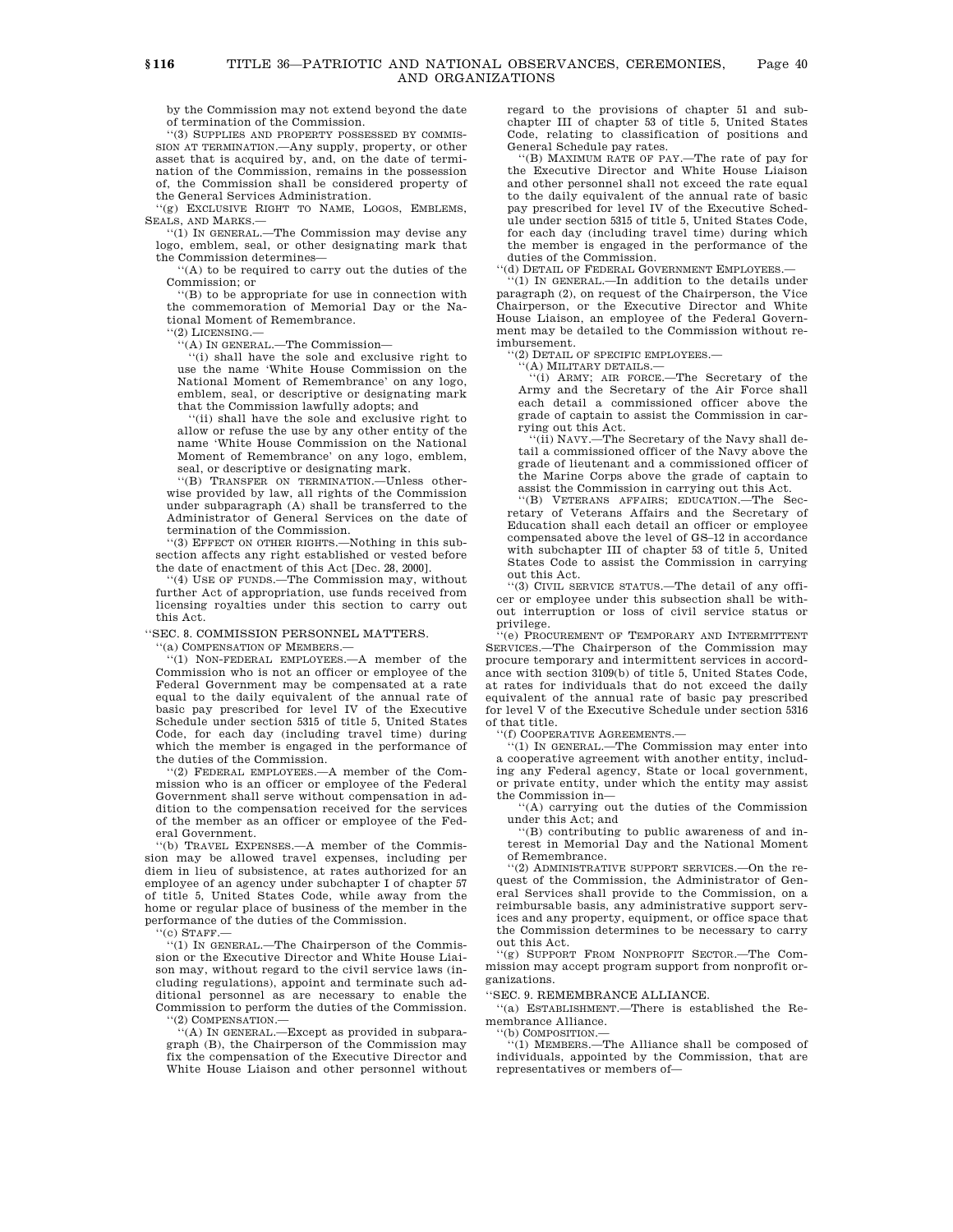by the Commission may not extend beyond the date of termination of the Commission.

''(3) SUPPLIES AND PROPERTY POSSESSED BY COMMIS-SION AT TERMINATION.—Any supply, property, or other asset that is acquired by, and, on the date of termination of the Commission, remains in the possession of, the Commission shall be considered property of the General Services Administration.

''(g) EXCLUSIVE RIGHT TO NAME, LOGOS, EMBLEMS, SEALS, AND MARKS.—

''(1) IN GENERAL.—The Commission may devise any logo, emblem, seal, or other designating mark that the Commission determines—

''(A) to be required to carry out the duties of the Commission; or

'(B) to be appropriate for use in connection with the commemoration of Memorial Day or the National Moment of Remembrance.

''(2) LICENSING.—

''(A) IN GENERAL.—The Commission—

''(i) shall have the sole and exclusive right to use the name 'White House Commission on the National Moment of Remembrance' on any logo, emblem, seal, or descriptive or designating mark that the Commission lawfully adopts; and

''(ii) shall have the sole and exclusive right to allow or refuse the use by any other entity of the name 'White House Commission on the National Moment of Remembrance' on any logo, emblem, seal, or descriptive or designating mark.

''(B) TRANSFER ON TERMINATION.—Unless otherwise provided by law, all rights of the Commission under subparagraph (A) shall be transferred to the Administrator of General Services on the date of termination of the Commission.

''(3) EFFECT ON OTHER RIGHTS.—Nothing in this subsection affects any right established or vested before the date of enactment of this Act [Dec. 28, 2000].

''(4) USE OF FUNDS.—The Commission may, without further Act of appropriation, use funds received from licensing royalties under this section to carry out this Act.

''SEC. 8. COMMISSION PERSONNEL MATTERS.

''(a) COMPENSATION OF MEMBERS.—

''(1) NON-FEDERAL EMPLOYEES.—A member of the Commission who is not an officer or employee of the Federal Government may be compensated at a rate equal to the daily equivalent of the annual rate of basic pay prescribed for level IV of the Executive Schedule under section 5315 of title 5, United States Code, for each day (including travel time) during which the member is engaged in the performance of the duties of the Commission.

''(2) FEDERAL EMPLOYEES.—A member of the Commission who is an officer or employee of the Federal Government shall serve without compensation in addition to the compensation received for the services of the member as an officer or employee of the Federal Government.

'(b) TRAVEL EXPENSES.—A member of the Commission may be allowed travel expenses, including per diem in lieu of subsistence, at rates authorized for an employee of an agency under subchapter I of chapter 57 of title 5, United States Code, while away from the home or regular place of business of the member in the performance of the duties of the Commission.

 $'(c)$  STAFF.

'(1) IN GENERAL.—The Chairperson of the Commission or the Executive Director and White House Liaison may, without regard to the civil service laws (including regulations), appoint and terminate such additional personnel as are necessary to enable the Commission to perform the duties of the Commission. '(2) COMPENSATION.-

''(A) IN GENERAL.—Except as provided in subparagraph (B), the Chairperson of the Commission may fix the compensation of the Executive Director and White House Liaison and other personnel without regard to the provisions of chapter 51 and subchapter III of chapter 53 of title 5, United States Code, relating to classification of positions and General Schedule pay rates.

''(B) MAXIMUM RATE OF PAY.—The rate of pay for the Executive Director and White House Liaison and other personnel shall not exceed the rate equal to the daily equivalent of the annual rate of basic pay prescribed for level IV of the Executive Schedule under section 5315 of title 5, United States Code, for each day (including travel time) during which the member is engaged in the performance of the duties of the Commission.

''(d) DETAIL OF FEDERAL GOVERNMENT EMPLOYEES.—

''(1) IN GENERAL.—In addition to the details under paragraph (2), on request of the Chairperson, the Vice Chairperson, or the Executive Director and White House Liaison, an employee of the Federal Government may be detailed to the Commission without re-

imbursement. ''(2) DETAIL OF SPECIFIC EMPLOYEES.—

''(A) MILITARY DETAILS.—

''(i) ARMY; AIR FORCE.—The Secretary of the Army and the Secretary of the Air Force shall each detail a commissioned officer above the grade of captain to assist the Commission in carrying out this Act.

''(ii) NAVY.—The Secretary of the Navy shall detail a commissioned officer of the Navy above the grade of lieutenant and a commissioned officer of the Marine Corps above the grade of captain to assist the Commission in carrying out this Act.

''(B) VETERANS AFFAIRS; EDUCATION.—The Secretary of Veterans Affairs and the Secretary of Education shall each detail an officer or employee compensated above the level of GS–12 in accordance with subchapter III of chapter 53 of title 5, United States Code to assist the Commission in carrying out this Act.

''(3) CIVIL SERVICE STATUS.—The detail of any officer or employee under this subsection shall be without interruption or loss of civil service status or privilege.

'(e) PROCUREMENT OF TEMPORARY AND INTERMITTENT SERVICES.—The Chairperson of the Commission may procure temporary and intermittent services in accordance with section 3109(b) of title 5, United States Code, at rates for individuals that do not exceed the daily equivalent of the annual rate of basic pay prescribed for level V of the Executive Schedule under section 5316 of that title.

''(f) COOPERATIVE AGREEMENTS.—

''(1) IN GENERAL.—The Commission may enter into a cooperative agreement with another entity, including any Federal agency, State or local government, or private entity, under which the entity may assist the Commission in—

''(A) carrying out the duties of the Commission under this Act; and

''(B) contributing to public awareness of and interest in Memorial Day and the National Moment of Remembrance.

''(2) ADMINISTRATIVE SUPPORT SERVICES.—On the request of the Commission, the Administrator of General Services shall provide to the Commission, on a reimbursable basis, any administrative support services and any property, equipment, or office space that the Commission determines to be necessary to carry out this Act.

''(g) SUPPORT FROM NONPROFIT SECTOR.—The Commission may accept program support from nonprofit organizations.

''SEC. 9. REMEMBRANCE ALLIANCE.

''(a) ESTABLISHMENT.—There is established the Remembrance Alliance.

''(b) COMPOSITION.—

''(1) MEMBERS.—The Alliance shall be composed of individuals, appointed by the Commission, that are representatives or members of—